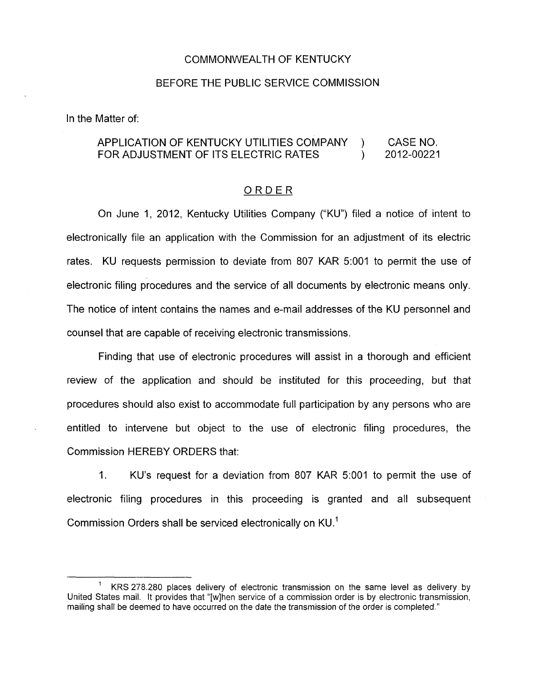## COMMONWEALTH OF KENTUCKY

## BEFORE THE PUBLIC SERVICE COMMISSION

In the Matter of:

## APPLICATION OF KENTUCKY UTILITIES COMPANY ) CASE NO.<br>FOR ADJUSTMENT OF ITS FLECTRIC RATES ) 2012-00221 FOR ADJUSTMENT OF ITS ELECTRIC RATES  $\vert$

## ORDER

On June 1, 2012, Kentucky Utilities Company ("KU") filed a notice of intent to electronically file an application with the Commission for an adjustment of its electric rates. KU requests permission to deviate from 807 KAR 5:OOI to permit the use of electronic filing procedures and the service of all documents by electronic means only. The notice of intent contains the names and e-mail addresses of the KU personnel and counsel that are capable of receiving electronic transmissions.

Finding that use of electronic procedures will assist in a thorough and efficient review of the application and should be instituted for this proceeding, but that procedures should also exist to accommodate full participation by any persons who are entitled to intervene but object to the use of electronic filing procedures, the Commission HEREBY ORDERS that:

1. KU's request for a deviation from 807 KAR 5:OOl to permit the use of electronic filing procedures in this proceeding is granted and all subsequent Commission Orders shall be serviced electronically on KU.'

KRS 278.280 places delivery of electronic transmission on the same level as delivery by United States mail. It provides that "[wlhen service of a commission order is by electronic transmission, mailing shall be deemed to have occurred on the date the transmission of the order is completed." **1**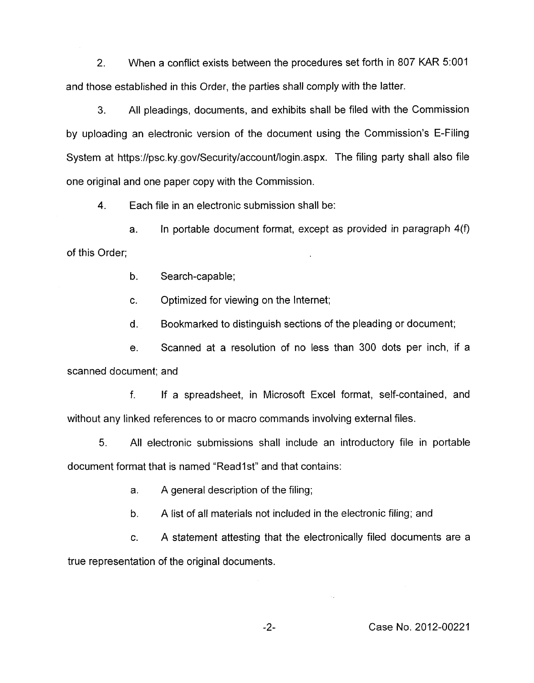2. When a conflict exists between the procedures set forth in 807 KAR 5:OOl and those established in this Order, the parties shall comply with the latter.

**3.** All pleadings, documents, and exhibits shall be filed with the Commission by uploading an electronic version of the document using the Commission's E-Filing System at [https://psc.](https://psc) ky.gov/Security/account/login.aspx. The filing party shall also file one original and one paper copy with the Commission.

**4.** Each file in an electronic submission shall be:

a. In portable document format, except as provided in paragraph 4(f) of this Order;

b. Search-capable;

c. Optimized for viewing on the Internet;

d. Bookmarked to distinguish sections of the pleading or document;

e. Scanned at a resolution of no less than 300 dots per inch, if a scanned document; and

f. If a spreadsheet, in Microsoft Excel format, self-contained, and without any linked references to or macro commands involving external files.

5. All electronic submissions shall include an introductory file in portable document format that is named "Read1st" and that contains:

> a. A general description of the filing;

b. A list of all materials not included in the electronic filing; and

c. A statement attesting that the electronically filed documents are a true representation of the original documents.

-2- Case **No.** 2012-00221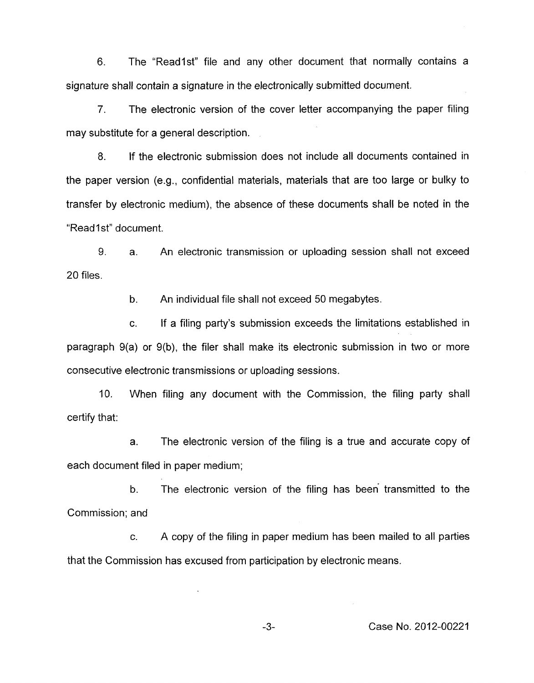6. The "Readlst" file and any other document that normally contains a signature shall contain a signature in the electronically submitted document.

*7.* The electronic version of the cover letter accompanying the paper filing may substitute for a general description.

8. If the electronic submission does not include all documents contained in the paper version (e.g., confidential materials, materials that are too large or bulky to transfer by electronic medium), the absence of these documents shall be noted in the "Read1st" document.

9. 20 files. a. An electronic transmission or uploading session shall not exceed

> b. An individual file shall not exceed 50 megabytes.

c. If a filing party's submission exceeds the limitations established in paragraph 9(a) or 9(b), the filer shall make its electronic submission in two or more consecutive electronic transmissions or uploading sessions.

IO. When filing any document with the Commission, the filing party shall certify that:

a. The electronic version of the filing is a true and accurate copy of each document filed in paper medium;

b. The electronic version of the filing has been transmitted to the Commission; and

c. A copy of the filing in paper medium has been mailed to all parties that the Commission has excused from participation by electronic means.

**-3-** Case No. 2012-00221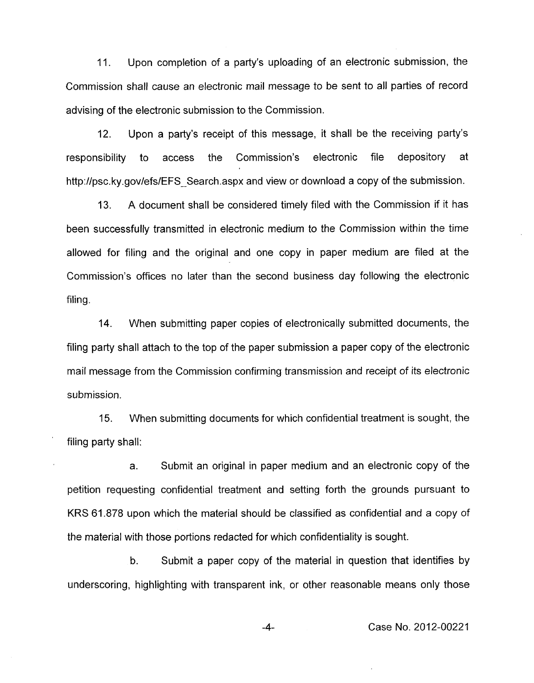11. Upon completion of a party's uploading of an electronic submission, the Commission shall cause an electronic mail message to be sent to all parties of record advising of the electronic submission to the Commission.

12. Upon a party's receipt of this message, it shall be the receiving party's responsibility to access the Commission's electronic file depository at [http://psc.](http://psc)ky.gov/efs/EFS Search.aspx and view or download a copy of the submission.

A document shall be considered timely filed with the Commission if it has been successfully transmitted in electronic medium to the Commission within the time allowed for filing and the original and one copy in paper medium are filed at the Commission's offices no later than the second business day following the electronic filing. 13.

14. When submitting paper copies of electronically submitted documents, the filing party shall attach to the top of the paper submission a paper copy of the electronic mail message from the Commission confirming transmission and receipt of its electronic submission.

15. When submitting documents for which confidential treatment is sought, the filing party shall:

a. Submit an original in paper medium and an electronic copy of the petition requesting confidential treatment and setting forth the grounds pursuant to KRS 61.878 upon which the material should be classified as confidential and a copy of the material with those portions redacted for which confidentiality is sought.

b. Submit a paper copy of the material in question that identifies by underscoring, highlighting with transparent ink, or other reasonable means only those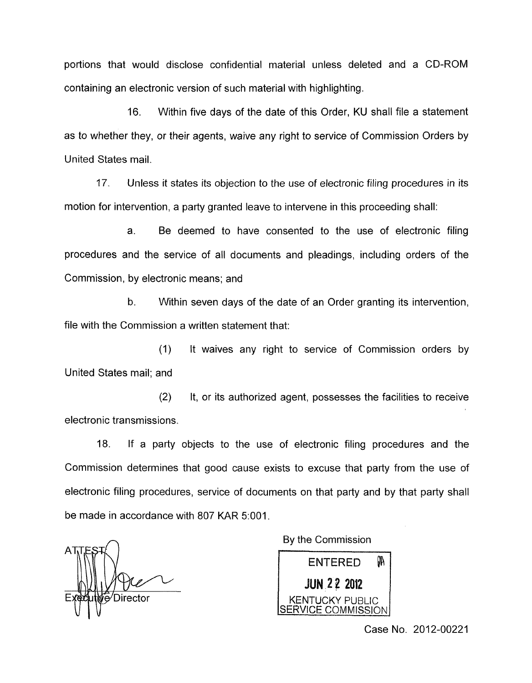portions that would disclose confidential material unless deleted and a CD-ROM containing an electronic version of such material with highlighting.

16. Within five days of the date of this Order, KU shall file a statement as to whether they, or their agents, waive any right to service of Commission Orders by United States mail.

17. Unless it states its objection to the use of electronic filing procedures in its motion for intervention, a party granted leave to intervene in this proceeding shall:

a. Be deemed to have consented to the use of electronic filing procedures and the service of all documents and pleadings, including orders of the Commission, by electronic means; and

b. Within seven days of the date of an Order granting its intervention, file with the Commission a written statement that:

(1) United States mail; and It waives any right to service of Commission orders by

(2) It, or its authorized agent, possesses the facilities to receive electronic transmissions.

18. If a party objects to the use of electronic filing procedures and the Commission determines that good cause exists to excuse that party from the use of electronic filing procedures, service of documents on that party and by that party shall be made in accordance with 807 KAR 5:001.

'Director

**A** By the Commission



Case No. 2012-00221